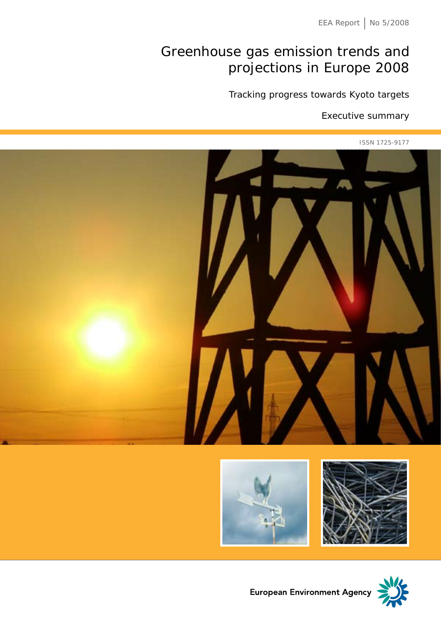EEA Report | No 5/2008

# Greenhouse gas emission trends and projections in Europe 2008

Tracking progress towards Kyoto targets

### Executive summary











European Environment Agency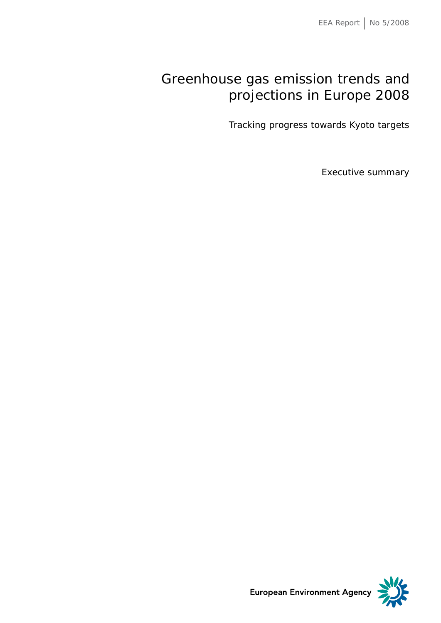# Greenhouse gas emission trends and projections in Europe 2008

Tracking progress towards Kyoto targets

Executive summary



**European Environment Agency**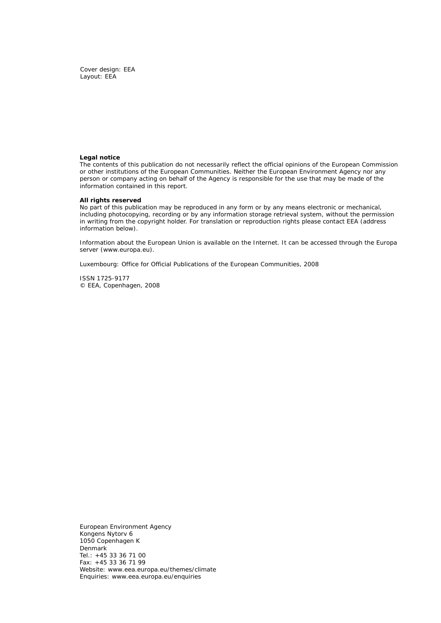Cover design: EEA Layout: EEA

#### **Legal notice**

The contents of this publication do not necessarily reflect the official opinions of the European Commission or other institutions of the European Communities. Neither the European Environment Agency nor any person or company acting on behalf of the Agency is responsible for the use that may be made of the information contained in this report.

#### **All rights reserved**

No part of this publication may be reproduced in any form or by any means electronic or mechanical, including photocopying, recording or by any information storage retrieval system, without the permission in writing from the copyright holder. For translation or reproduction rights please contact EEA (address information below).

Information about the European Union is available on the Internet. It can be accessed through the Europa server (www.europa.eu).

Luxembourg: Office for Official Publications of the European Communities, 2008

ISSN 1725-9177 © EEA, Copenhagen, 2008

European Environment Agency Kongens Nytorv 6 1050 Copenhagen K Denmark Tel.: +45 33 36 71 00 Fax: +45 33 36 71 99 Website: www.eea.europa.eu/themes/climate Enquiries: www.eea.europa.eu/enquiries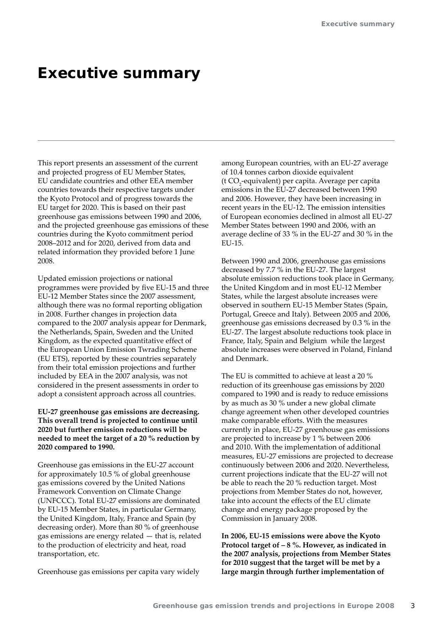## **Executive summary**

This report presents an assessment of the current and projected progress of EU Member States, EU candidate countries and other EEA member countries towards their respective targets under the Kyoto Protocol and of progress towards the EU target for 2020. This is based on their past greenhouse gas emissions between 1990 and 2006, and the projected greenhouse gas emissions of these countries during the Kyoto commitment period 2008–2012 and for 2020, derived from data and related information they provided before 1 June 2008.

Updated emission projections or national programmes were provided by five EU-15 and three EU-12 Member States since the 2007 assessment, although there was no formal reporting obligation in 2008. Further changes in projection data compared to the 2007 analysis appear for Denmark, the Netherlands, Spain, Sweden and the United Kingdom, as the expected quantitative effect of the European Union Emission Twrading Scheme (EU ETS), reported by these countries separately from their total emission projections and further included by EEA in the 2007 analysis, was not considered in the present assessments in order to adopt a consistent approach across all countries.

#### **EU-27 greenhouse gas emissions are decreasing. This overall trend is projected to continue until 2020 but further emission reductions will be needed to meet the target of a 20 % reduction by 2020 compared to 1990.**

Greenhouse gas emissions in the EU-27 account for approximately 10.5 % of global greenhouse gas emissions covered by the United Nations Framework Convention on Climate Change (UNFCCC). Total EU-27 emissions are dominated by EU-15 Member States, in particular Germany, the United Kingdom, Italy, France and Spain (by decreasing order). More than 80 % of greenhouse gas emissions are energy related — that is, related to the production of electricity and heat, road transportation, etc.

Greenhouse gas emissions per capita vary widely

among European countries, with an EU-27 average of 10.4 tonnes carbon dioxide equivalent (t CO<sub>2</sub>-equivalent) per capita. Average per capita emissions in the EU-27 decreased between 1990 and 2006. However, they have been increasing in recent years in the EU-12. The emission intensities of European economies declined in almost all EU-27 Member States between 1990 and 2006, with an average decline of 33 % in the EU-27 and 30 % in the EU-15.

Between 1990 and 2006, greenhouse gas emissions decreased by 7.7 % in the EU-27. The largest absolute emission reductions took place in Germany, the United Kingdom and in most EU-12 Member States, while the largest absolute increases were observed in southern EU-15 Member States (Spain, Portugal, Greece and Italy). Between 2005 and 2006, greenhouse gas emissions decreased by 0.3 % in the EU-27. The largest absolute reductions took place in France, Italy, Spain and Belgium while the largest absolute increases were observed in Poland, Finland and Denmark.

The EU is committed to achieve at least a 20 % reduction of its greenhouse gas emissions by 2020 compared to 1990 and is ready to reduce emissions by as much as 30 % under a new global climate change agreement when other developed countries make comparable efforts. With the measures currently in place, EU-27 greenhouse gas emissions are projected to increase by 1 % between 2006 and 2010. With the implementation of additional measures, EU-27 emissions are projected to decrease continuously between 2006 and 2020. Nevertheless, current projections indicate that the EU-27 will not be able to reach the 20 % reduction target. Most projections from Member States do not, however, take into account the effects of the EU climate change and energy package proposed by the Commission in January 2008.

**In 2006, EU-15 emissions were above the Kyoto Protocol target of – 8 %. However, as indicated in the 2007 analysis, projections from Member States for 2010 suggest that the target will be met by a large margin through further implementation of**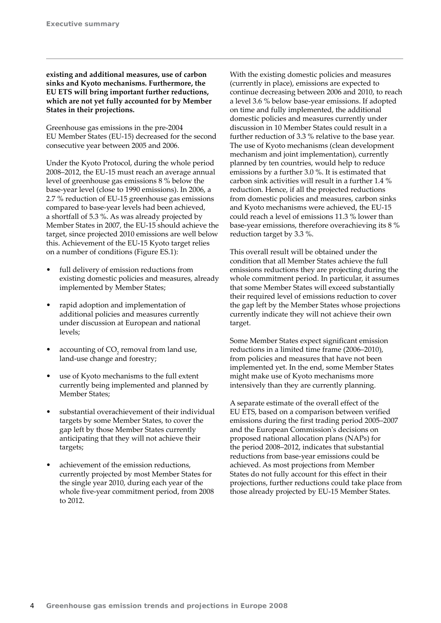**existing and additional measures, use of carbon sinks and Kyoto mechanisms. Furthermore, the EU ETS will bring important further reductions, which are not yet fully accounted for by Member States in their projections.**

Greenhouse gas emissions in the pre-2004 EU Member States (EU-15) decreased for the second consecutive year between 2005 and 2006.

Under the Kyoto Protocol, during the whole period 2008–2012, the EU-15 must reach an average annual level of greenhouse gas emissions 8 % below the base-year level (close to 1990 emissions). In 2006, a 2.7 % reduction of EU-15 greenhouse gas emissions compared to base-year levels had been achieved, a shortfall of 5.3 %. As was already projected by Member States in 2007, the EU-15 should achieve the target, since projected 2010 emissions are well below this. Achievement of the EU-15 Kyoto target relies on a number of conditions (Figure ES.1):

- full delivery of emission reductions from existing domestic policies and measures, already implemented by Member States;
- rapid adoption and implementation of additional policies and measures currently under discussion at European and national levels;
- accounting of  $CO_2$  removal from land use, land-use change and forestry;
- use of Kyoto mechanisms to the full extent currently being implemented and planned by Member States;
- substantial overachievement of their individual targets by some Member States, to cover the gap left by those Member States currently anticipating that they will not achieve their targets;
- achievement of the emission reductions, currently projected by most Member States for the single year 2010, during each year of the whole five-year commitment period, from 2008 to 2012.

With the existing domestic policies and measures (currently in place), emissions are expected to continue decreasing between 2006 and 2010, to reach a level 3.6 % below base-year emissions. If adopted on time and fully implemented, the additional domestic policies and measures currently under discussion in 10 Member States could result in a further reduction of 3.3 % relative to the base year. The use of Kyoto mechanisms (clean development mechanism and joint implementation), currently planned by ten countries, would help to reduce emissions by a further 3.0 %. It is estimated that carbon sink activities will result in a further 1.4 % reduction. Hence, if all the projected reductions from domestic policies and measures, carbon sinks and Kyoto mechanisms were achieved, the EU-15 could reach a level of emissions 11.3 % lower than base-year emissions, therefore overachieving its 8 % reduction target by 3.3 %.

This overall result will be obtained under the condition that all Member States achieve the full emissions reductions they are projecting during the whole commitment period. In particular, it assumes that some Member States will exceed substantially their required level of emissions reduction to cover the gap left by the Member States whose projections currently indicate they will not achieve their own target.

Some Member States expect significant emission reductions in a limited time frame (2006–2010), from policies and measures that have not been implemented yet. In the end, some Member States might make use of Kyoto mechanisms more intensively than they are currently planning.

A separate estimate of the overall effect of the EU ETS, based on a comparison between verified emissions during the first trading period 2005–2007 and the European Commission's decisions on proposed national allocation plans (NAPs) for the period 2008–2012, indicates that substantial reductions from base-year emissions could be achieved. As most projections from Member States do not fully account for this effect in their projections, further reductions could take place from those already projected by EU-15 Member States.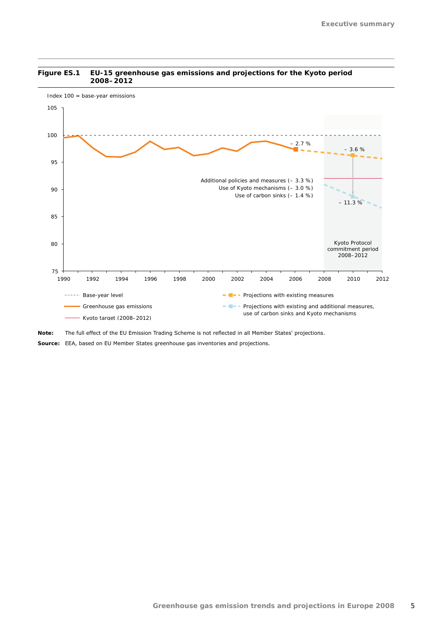



**Note:** The full effect of the EU Emission Trading Scheme is not reflected in all Member States' projections.

Source: EEA, based on EU Member States greenhouse gas inventories and projections.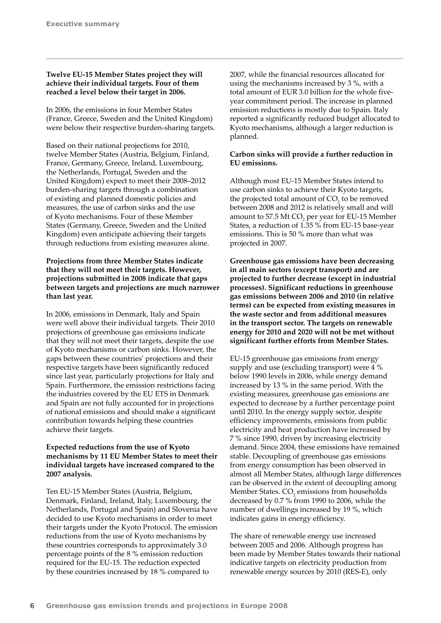### **Twelve EU-15 Member States project they will achieve their individual targets. Four of them reached a level below their target in 2006.**

In 2006, the emissions in four Member States (France, Greece, Sweden and the United Kingdom) were below their respective burden-sharing targets.

Based on their national projections for 2010, twelve Member States (Austria, Belgium, Finland, France, Germany, Greece, Ireland, Luxembourg, the Netherlands, Portugal, Sweden and the United Kingdom) expect to meet their 2008–2012 burden-sharing targets through a combination of existing and planned domestic policies and measures, the use of carbon sinks and the use of Kyoto mechanisms. Four of these Member States (Germany, Greece, Sweden and the United Kingdom) even anticipate achieving their targets through reductions from existing measures alone.

#### **Projections from three Member States indicate that they will not meet their targets. However, projections submitted in 2008 indicate that gaps between targets and projections are much narrower than last year.**

In 2006, emissions in Denmark, Italy and Spain were well above their individual targets. Their 2010 projections of greenhouse gas emissions indicate that they will not meet their targets, despite the use of Kyoto mechanisms or carbon sinks. However, the gaps between these countries' projections and their respective targets have been significantly reduced since last year, particularly projections for Italy and Spain. Furthermore, the emission restrictions facing the industries covered by the EU ETS in Denmark and Spain are not fully accounted for in projections of national emissions and should make a significant contribution towards helping these countries achieve their targets.

#### **Expected reductions from the use of Kyoto mechanisms by 11 EU Member States to meet their individual targets have increased compared to the 2007 analysis.**

Ten EU-15 Member States (Austria, Belgium, Denmark, Finland, Ireland, Italy, Luxembourg, the Netherlands, Portugal and Spain) and Slovenia have decided to use Kyoto mechanisms in order to meet their targets under the Kyoto Protocol. The emission reductions from the use of Kyoto mechanisms by these countries corresponds to approximately 3.0 percentage points of the 8 % emission reduction required for the EU-15. The reduction expected by these countries increased by 18 % compared to

2007, while the financial resources allocated for using the mechanisms increased by 3 %, with a total amount of EUR 3.0 billion for the whole fiveyear commitment period. The increase in planned emission reductions is mostly due to Spain. Italy reported a significantly reduced budget allocated to Kyoto mechanisms, although a larger reduction is planned.

### **Carbon sinks will provide a further reduction in EU emissions.**

Although most EU-15 Member States intend to use carbon sinks to achieve their Kyoto targets, the projected total amount of  $CO<sub>2</sub>$  to be removed between 2008 and 2012 is relatively small and will amount to 57.5 Mt  $CO<sub>2</sub>$  per year for EU-15 Member States, a reduction of 1.35 % from EU-15 base-year emissions. This is 50 % more than what was projected in 2007.

**Greenhouse gas emissions have been decreasing in all main sectors (except transport) and are projected to further decrease (except in industrial processes). Significant reductions in greenhouse gas emissions between 2006 and 2010 (in relative terms) can be expected from existing measures in the waste sector and from additional measures in the transport sector. The targets on renewable energy for 2010 and 2020 will not be met without significant further efforts from Member States.**

EU-15 greenhouse gas emissions from energy supply and use (excluding transport) were 4 % below 1990 levels in 2006, while energy demand increased by 13 % in the same period. With the existing measures, greenhouse gas emissions are expected to decrease by a further percentage point until 2010. In the energy supply sector, despite efficiency improvements, emissions from public electricity and heat production have increased by 7 % since 1990, driven by increasing electricity demand. Since 2004, these emissions have remained stable. Decoupling of greenhouse gas emissions from energy consumption has been observed in almost all Member States, although large differences can be observed in the extent of decoupling among Member States.  $CO<sub>2</sub>$  emissions from households decreased by 0.7 % from 1990 to 2006, while the number of dwellings increased by 19 %, which indicates gains in energy efficiency.

The share of renewable energy use increased between 2005 and 2006. Although progress has been made by Member States towards their national indicative targets on electricity production from renewable energy sources by 2010 (RES-E), only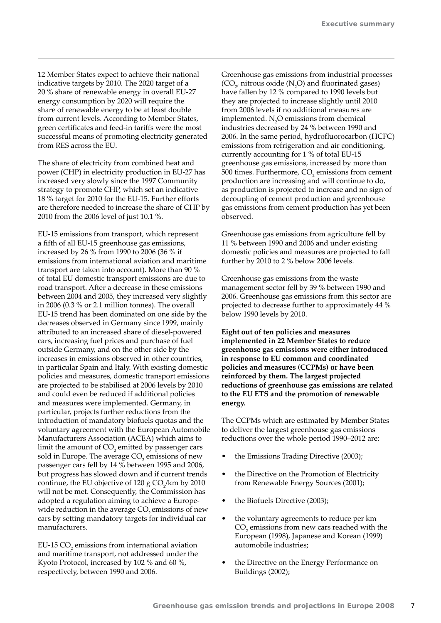12 Member States expect to achieve their national indicative targets by 2010. The 2020 target of a 20 % share of renewable energy in overall EU-27 energy consumption by 2020 will require the share of renewable energy to be at least double from current levels. According to Member States, green certificates and feed-in tariffs were the most successful means of promoting electricity generated from RES across the EU.

The share of electricity from combined heat and power (CHP) in electricity production in EU-27 has increased very slowly since the 1997 Community strategy to promote CHP, which set an indicative 18 % target for 2010 for the EU-15. Further efforts are therefore needed to increase the share of CHP by 2010 from the 2006 level of just 10.1 %.

EU-15 emissions from transport, which represent a fifth of all EU-15 greenhouse gas emissions, increased by 26 % from 1990 to 2006 (36 % if emissions from international aviation and maritime transport are taken into account). More than 90 % of total EU domestic transport emissions are due to road transport. After a decrease in these emissions between 2004 and 2005, they increased very slightly in 2006 (0.3 % or 2.1 million tonnes). The overall EU-15 trend has been dominated on one side by the decreases observed in Germany since 1999, mainly attributed to an increased share of diesel-powered cars, increasing fuel prices and purchase of fuel outside Germany, and on the other side by the increases in emissions observed in other countries, in particular Spain and Italy. With existing domestic policies and measures, domestic transport emissions are projected to be stabilised at 2006 levels by 2010 and could even be reduced if additional policies and measures were implemented. Germany, in particular, projects further reductions from the introduction of mandatory biofuels quotas and the voluntary agreement with the European Automobile Manufacturers Association (ACEA) which aims to limit the amount of  $CO<sub>2</sub>$  emitted by passenger cars sold in Europe. The average  $\mathrm{CO}_2$  emissions of new passenger cars fell by 14 % between 1995 and 2006, but progress has slowed down and if current trends continue, the EU objective of  $120 \text{ g } CO_2/\text{km}$  by  $2010$ will not be met. Consequently, the Commission has adopted a regulation aiming to achieve a Europewide reduction in the average  $CO$ <sub>2</sub> emissions of new cars by setting mandatory targets for individual car manufacturers.

EU-15  $CO<sub>2</sub>$  emissions from international aviation and maritime transport, not addressed under the Kyoto Protocol, increased by 102 % and 60 %, respectively, between 1990 and 2006.

Greenhouse gas emissions from industrial processes  $(CO<sub>2</sub>$  nitrous oxide (N<sub>2</sub>O) and fluorinated gases) have fallen by 12 % compared to 1990 levels but they are projected to increase slightly until 2010 from 2006 levels if no additional measures are implemented.  $N_2O$  emissions from chemical industries decreased by 24 % between 1990 and 2006. In the same period, hydrofluorocarbon (HCFC) emissions from refrigeration and air conditioning, currently accounting for 1 % of total EU-15 greenhouse gas emissions, increased by more than 500 times. Furthermore,  $CO<sub>2</sub>$  emissions from cement production are increasing and will continue to do, as production is projected to increase and no sign of decoupling of cement production and greenhouse gas emissions from cement production has yet been observed.

Greenhouse gas emissions from agriculture fell by 11 % between 1990 and 2006 and under existing domestic policies and measures are projected to fall further by 2010 to 2 % below 2006 levels.

Greenhouse gas emissions from the waste management sector fell by 39 % between 1990 and 2006. Greenhouse gas emissions from this sector are projected to decrease further to approximately 44 % below 1990 levels by 2010.

**Eight out of ten policies and measures implemented in 22 Member States to reduce greenhouse gas emissions were either introduced in response to EU common and coordinated policies and measures (CCPMs) or have been reinforced by them. The largest projected reductions of greenhouse gas emissions are related to the EU ETS and the promotion of renewable energy.**

The CCPMs which are estimated by Member States to deliver the largest greenhouse gas emissions reductions over the whole period 1990–2012 are:

- the Emissions Trading Directive (2003);
- the Directive on the Promotion of Electricity from Renewable Energy Sources (2001);
- the Biofuels Directive (2003);
- the voluntary agreements to reduce per km  $CO<sub>2</sub>$  emissions from new cars reached with the European (1998), Japanese and Korean (1999) automobile industries;
- the Directive on the Energy Performance on Buildings (2002);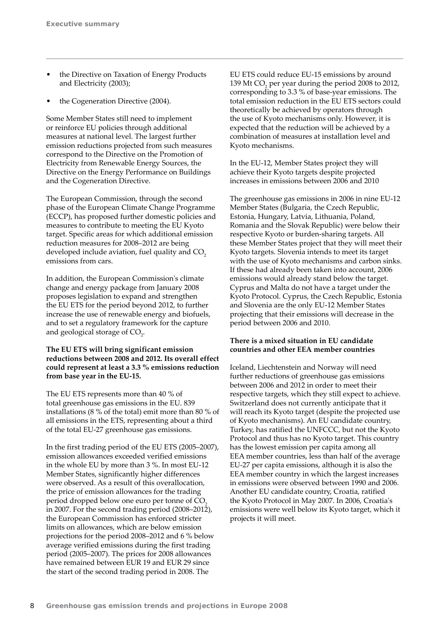- the Directive on Taxation of Energy Products and Electricity (2003);
- the Cogeneration Directive (2004).

Some Member States still need to implement or reinforce EU policies through additional measures at national level. The largest further emission reductions projected from such measures correspond to the Directive on the Promotion of Electricity from Renewable Energy Sources, the Directive on the Energy Performance on Buildings and the Cogeneration Directive.

The European Commission, through the second phase of the European Climate Change Programme (ECCP), has proposed further domestic policies and measures to contribute to meeting the EU Kyoto target. Specific areas for which additional emission reduction measures for 2008–2012 are being developed include aviation, fuel quality and CO<sub>2</sub> emissions from cars.

In addition, the European Commission's climate change and energy package from January 2008 proposes legislation to expand and strengthen the EU ETS for the period beyond 2012, to further increase the use of renewable energy and biofuels, and to set a regulatory framework for the capture and geological storage of  $\mathrm{CO}_2^1$ .

#### **The EU ETS will bring significant emission reductions between 2008 and 2012. Its overall effect could represent at least a 3.3 % emissions reduction from base year in the EU-15.**

The EU ETS represents more than 40 % of total greenhouse gas emissions in the EU. 839 installations (8 % of the total) emit more than 80 % of all emissions in the ETS, representing about a third of the total EU-27 greenhouse gas emissions.

In the first trading period of the EU ETS (2005–2007), emission allowances exceeded verified emissions in the whole EU by more than 3 %. In most EU-12 Member States, significantly higher differences were observed. As a result of this overallocation, the price of emission allowances for the trading period dropped below one euro per tonne of CO<sub>2</sub> in 2007. For the second trading period (2008–2012), the European Commission has enforced stricter limits on allowances, which are below emission projections for the period 2008–2012 and 6 % below average verified emissions during the first trading period (2005–2007). The prices for 2008 allowances have remained between EUR 19 and EUR 29 since the start of the second trading period in 2008. The

EU ETS could reduce EU-15 emissions by around 139 Mt  $CO<sub>2</sub>$  per year during the period 2008 to 2012, corresponding to 3.3 % of base-year emissions. The total emission reduction in the EU ETS sectors could theoretically be achieved by operators through the use of Kyoto mechanisms only. However, it is expected that the reduction will be achieved by a combination of measures at installation level and Kyoto mechanisms.

In the EU-12, Member States project they will achieve their Kyoto targets despite projected increases in emissions between 2006 and 2010

The greenhouse gas emissions in 2006 in nine EU-12 Member States (Bulgaria, the Czech Republic, Estonia, Hungary, Latvia, Lithuania, Poland, Romania and the Slovak Republic) were below their respective Kyoto or burden-sharing targets. All these Member States project that they will meet their Kyoto targets. Slovenia intends to meet its target with the use of Kyoto mechanisms and carbon sinks. If these had already been taken into account, 2006 emissions would already stand below the target. Cyprus and Malta do not have a target under the Kyoto Protocol. Cyprus, the Czech Republic, Estonia and Slovenia are the only EU-12 Member States projecting that their emissions will decrease in the period between 2006 and 2010.

#### **There is a mixed situation in EU candidate countries and other EEA member countries**

Iceland, Liechtenstein and Norway will need further reductions of greenhouse gas emissions between 2006 and 2012 in order to meet their respective targets, which they still expect to achieve. Switzerland does not currently anticipate that it will reach its Kyoto target (despite the projected use of Kyoto mechanisms). An EU candidate country, Turkey, has ratified the UNFCCC, but not the Kyoto Protocol and thus has no Kyoto target. This country has the lowest emission per capita among all EEA member countries, less than half of the average EU-27 per capita emissions, although it is also the EEA member country in which the largest increases in emissions were observed between 1990 and 2006. Another EU candidate country, Croatia, ratified the Kyoto Protocol in May 2007. In 2006, Croatia's emissions were well below its Kyoto target, which it projects it will meet.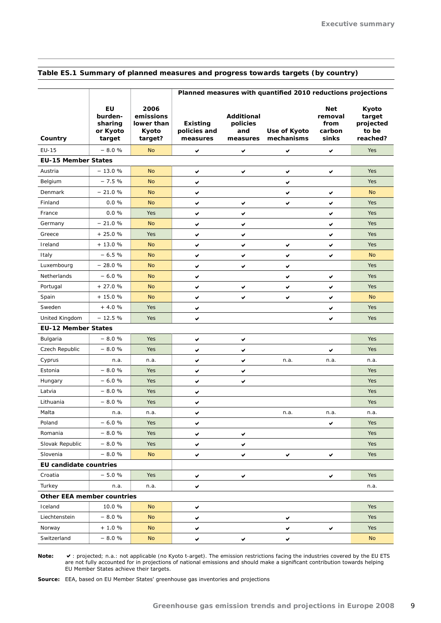#### **Table ES.1 Summary of planned measures and progress towards targets (by country)**

|                                   |                                                |                                                     | Planned measures with quantified 2010 reductions projections |                                           |                            |                                                  |                                                   |
|-----------------------------------|------------------------------------------------|-----------------------------------------------------|--------------------------------------------------------------|-------------------------------------------|----------------------------|--------------------------------------------------|---------------------------------------------------|
| Country                           | EU<br>burden-<br>sharing<br>or Kyoto<br>target | 2006<br>emissions<br>lower than<br>Kyoto<br>target? | <b>Existing</b><br>policies and<br>measures                  | Additional<br>policies<br>and<br>measures | Use of Kyoto<br>mechanisms | <b>Net</b><br>removal<br>from<br>carbon<br>sinks | Kyoto<br>target<br>projected<br>to be<br>reached? |
| EU-15                             | $-8.0%$                                        | <b>No</b>                                           | ✓                                                            | ✔                                         | ✔                          | ✔                                                | Yes                                               |
| <b>EU-15 Member States</b>        |                                                |                                                     |                                                              |                                           |                            |                                                  |                                                   |
| Austria                           | $-13.0%$                                       | <b>No</b>                                           | ✔                                                            | ✔                                         | ✔                          | ✔                                                | Yes                                               |
| Belgium                           | $-7.5%$                                        | <b>No</b>                                           | ✔                                                            |                                           | ✔                          |                                                  | Yes                                               |
| Denmark                           | $-21.0%$                                       | <b>No</b>                                           | ✓                                                            |                                           | ✓                          | ✔                                                | <b>No</b>                                         |
| Finland                           | 0.0%                                           | <b>No</b>                                           | ✔                                                            | ✔                                         | ✔                          | ✔                                                | Yes                                               |
| France                            | 0.0%                                           | Yes                                                 | ✔                                                            | ✔                                         |                            | ✔                                                | Yes                                               |
| Germany                           | $-21.0%$                                       | <b>No</b>                                           | ✔                                                            | ✔                                         |                            | ✔                                                | Yes                                               |
| Greece                            | $+25.0%$                                       | Yes                                                 | ✔                                                            | ✔                                         |                            | ✔                                                | Yes                                               |
| Ireland                           | $+13.0%$                                       | <b>No</b>                                           | ✔                                                            | ✔                                         | ✔                          | ✔                                                | Yes                                               |
| Italy                             | $-6.5%$                                        | <b>No</b>                                           | ✔                                                            | ✔                                         | ✔                          | ✔                                                | <b>No</b>                                         |
| Luxembourg                        | $-28.0%$                                       | <b>No</b>                                           | ✔                                                            | ✔                                         | ✔                          |                                                  | Yes                                               |
| Netherlands                       | $-6.0%$                                        | <b>No</b>                                           | ✔                                                            |                                           | ✓                          | ✓                                                | Yes                                               |
| Portugal                          | $+27.0%$                                       | <b>No</b>                                           | ✔                                                            | ✔                                         | ✔                          | ✔                                                | Yes                                               |
| Spain                             | $+15.0%$                                       | <b>No</b>                                           | ✔                                                            | ✔                                         | ✔                          | ✔                                                | <b>No</b>                                         |
| Sweden                            | $+4.0%$                                        | <b>Yes</b>                                          | ✔                                                            |                                           |                            | ✓                                                | Yes                                               |
| United Kingdom                    | $-12.5%$                                       | Yes                                                 | ✔                                                            |                                           |                            | ✔                                                | Yes                                               |
| <b>EU-12 Member States</b>        |                                                |                                                     |                                                              |                                           |                            |                                                  |                                                   |
| Bulgaria                          | $-8.0%$                                        | Yes                                                 | ✔                                                            | ✔                                         |                            |                                                  | Yes                                               |
| Czech Republic                    | $-8.0%$                                        | <b>Yes</b>                                          | ✔                                                            | ✔                                         |                            | ✓                                                | Yes                                               |
| Cyprus                            | n.a.                                           | n.a.                                                | ✔                                                            | ✔                                         | n.a.                       | n.a.                                             | n.a.                                              |
| Estonia                           | $-8.0%$                                        | <b>Yes</b>                                          | ✔                                                            | ✔                                         |                            |                                                  | Yes                                               |
| Hungary                           | $-6.0%$                                        | Yes                                                 | ✓                                                            | ✔                                         |                            |                                                  | Yes                                               |
| Latvia                            | $-8.0%$                                        | <b>Yes</b>                                          | ✔                                                            |                                           |                            |                                                  | Yes                                               |
| Lithuania                         | $-8.0%$                                        | Yes                                                 | ✔                                                            |                                           |                            |                                                  | Yes                                               |
| Malta                             | n.a.                                           | n.a.                                                | ✔                                                            |                                           | n.a.                       | n.a.                                             | n.a.                                              |
| Poland                            | $-6.0%$                                        | Yes                                                 | ✔                                                            |                                           |                            | ✔                                                | Yes                                               |
| Romania                           | $-8.0%$                                        | Yes                                                 | ✔                                                            | ✔                                         |                            |                                                  | Yes                                               |
| Slovak Republic                   | $-8.0%$                                        | Yes                                                 | ✔                                                            | ✔                                         |                            |                                                  | Yes                                               |
| Slovenia                          | $-8.0%$                                        | <b>No</b>                                           | ✔                                                            | ✔                                         | ✔                          | ✔                                                | Yes                                               |
| <b>EU candidate countries</b>     |                                                |                                                     |                                                              |                                           |                            |                                                  |                                                   |
| Croatia                           | $-5.0%$                                        | Yes                                                 | ✔                                                            | ✔                                         |                            | ✔                                                | Yes                                               |
| Turkey                            | n.a.                                           | n.a.                                                | ✔                                                            |                                           |                            |                                                  | n.a.                                              |
| <b>Other EEA member countries</b> |                                                |                                                     |                                                              |                                           |                            |                                                  |                                                   |
| Iceland                           | 10.0 %                                         | <b>No</b>                                           | ✔                                                            |                                           |                            |                                                  | Yes                                               |
| Liechtenstein                     | $-8.0%$                                        | <b>No</b>                                           | ✔                                                            |                                           | ✔                          |                                                  | Yes                                               |
| Norway                            | $+1.0%$                                        | <b>No</b>                                           | ✔                                                            |                                           | ✓                          | ✓                                                | Yes                                               |
| Switzerland                       | $-8.0%$                                        | No                                                  | ✔                                                            | ✔                                         | ✔                          |                                                  | <b>No</b>                                         |

Note: • v : projected; n.a.: not applicable (no Kyoto t-arget). The emission restrictions facing the industries covered by the EU ETS are not fully accounted for in projections of national emissions and should make a sign EU Member States achieve their targets.

**Source:** EEA, based on EU Member States' greenhouse gas inventories and projections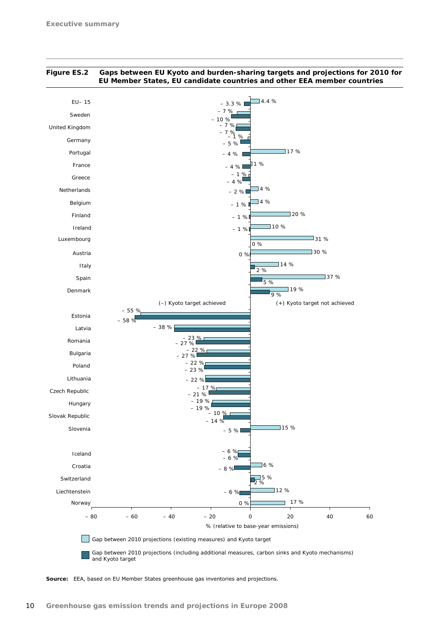



Source: EEA, based on EU Member States greenhouse gas inventories and projections.